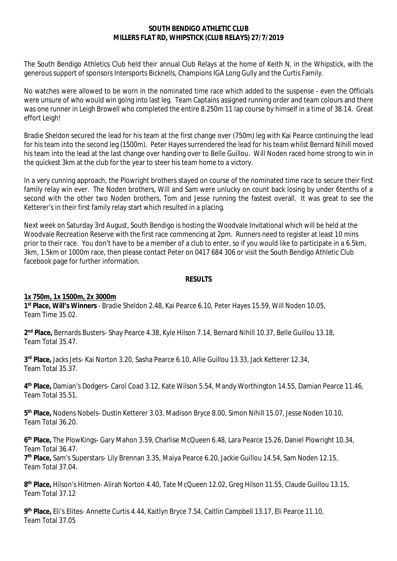### **SOUTH BENDIGO ATHLETIC CLUB MILLERS FLAT RD, WHIPSTICK (CLUB RELAYS) 27/7/2019**

The South Bendigo Athletics Club held their annual Club Relays at the home of Keith N, in the Whipstick, with the generous support of sponsors Intersports Bicknells, Champions IGA Long Gully and the Curtis Family.

No watches were allowed to be worn in the nominated time race which added to the suspense - even the Officials were unsure of who would win going into last leg. Team Captains assigned running order and team colours and there was one runner in Leigh Browell who completed the entire 8.250m 11 lap course by himself in a time of 38.14. Great effort Leigh!

Bradie Sheldon secured the lead for his team at the first change over (750m) leg with Kai Pearce continuing the lead for his team into the second leg (1500m). Peter Hayes surrendered the lead for his team whilst Bernard Nihill moved his team into the lead at the last change over handing over to Belle Guillou. Will Noden raced home strong to win in the quickest 3km at the club for the year to steer his team home to a victory.

In a very cunning approach, the Plowright brothers stayed on course of the nominated time race to secure their first family relay win ever. The Noden brothers, Will and Sam were unlucky on count back losing by under 6tenths of a second with the other two Noden brothers, Tom and Jesse running the fastest overall. It was great to see the Ketterer's in their first family relay start which resulted in a placing.

Next week on Saturday 3rd August, South Bendigo is hosting the Woodvale Invitational which will be held at the Woodvale Recreation Reserve with the first race commencing at 2pm. Runners need to register at least 10 mins prior to their race. You don't have to be a member of a club to enter, so if you would like to participate in a 6.5km, 3km, 1.5km or 1000m race, then please contact Peter on 0417 684 306 or visit the South Bendigo Athletic Club facebook page for further information.

### **RESULTS**

### **1x 750m, 1x 1500m, 2x 3000m**

**1 st Place, Will's Winners** - Bradie Sheldon 2.48, Kai Pearce 6.10, Peter Hayes 15.59, Will Noden 10.05, Team Time 35.02.

**2 nd Place,** Bernards Busters- Shay Pearce 4.38, Kyle Hilson 7.14, Bernard Nihill 10.37, Belle Guillou 13.18, Team Total 35.47.

**3 rd Place,** Jacks Jets- Kai Norton 3.20, Sasha Pearce 6.10, Allie Guillou 13.33, Jack Ketterer 12.34, Team Total 35.37.

**4 th Place,** Damian's Dodgers- Carol Coad 3.12, Kate Wilson 5.54, Mandy Worthington 14.55, Damian Pearce 11.46, Team Total 35.51.

**5 th Place,** Nodens Nobels- Dustin Ketterer 3.03, Madison Bryce 8.00, Simon Nihill 15.07, Jesse Noden 10.10, Team Total 36.20.

**6 th Place,** The PlowKings- Gary Mahon 3.59, Charlise McQueen 6.48, Lara Pearce 15.26, Daniel Plowright 10.34, Team Total 36.47.

**7 th Place,** Sam's Superstars- Lily Brennan 3.35, Maiya Pearce 6.20, Jackie Guillou 14.54, Sam Noden 12.15, Team Total 37.04.

**8 th Place,** Hilson's Hitmen- Alirah Norton 4.40, Tate McQueen 12.02, Greg Hilson 11.55, Claude Guillou 13.15, Team Total 37.12

**9 th Place,** Eli's Elites- Annette Curtis 4.44, Kaitlyn Bryce 7.54, Caitlin Campbell 13.17, Eli Pearce 11.10, Team Total 37.05